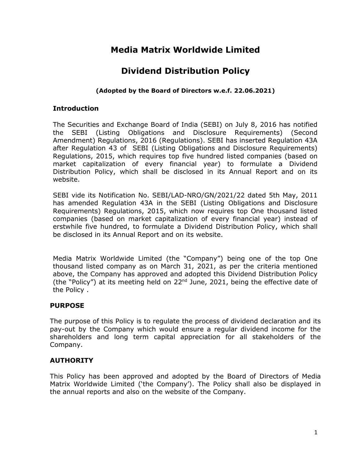# **Media Matrix Worldwide Limited**

# **Dividend Distribution Policy**

## **(Adopted by the Board of Directors w.e.f. 22.06.2021)**

#### **Introduction**

The Securities and Exchange Board of India (SEBI) on July 8, 2016 has notified the SEBI (Listing Obligations and Disclosure Requirements) (Second Amendment) Regulations, 2016 (Regulations). SEBI has inserted Regulation 43A after Regulation 43 of SEBI (Listing Obligations and Disclosure Requirements) Regulations, 2015, which requires top five hundred listed companies (based on market capitalization of every financial year) to formulate a Dividend Distribution Policy, which shall be disclosed in its Annual Report and on its website.

SEBI vide its Notification No. SEBI/LAD-NRO/GN/2021/22 dated 5th May, 2011 has amended Regulation 43A in the SEBI (Listing Obligations and Disclosure Requirements) Regulations, 2015, which now requires top One thousand listed companies (based on market capitalization of every financial year) instead of erstwhile five hundred, to formulate a Dividend Distribution Policy, which shall be disclosed in its Annual Report and on its website.

Media Matrix Worldwide Limited (the "Company") being one of the top One thousand listed company as on March 31, 2021, as per the criteria mentioned above, the Company has approved and adopted this Dividend Distribution Policy (the "Policy") at its meeting held on  $22^{nd}$  June, 2021, being the effective date of the Policy .

## **PURPOSE**

The purpose of this Policy is to regulate the process of dividend declaration and its pay-out by the Company which would ensure a regular dividend income for the shareholders and long term capital appreciation for all stakeholders of the Company.

## **AUTHORITY**

This Policy has been approved and adopted by the Board of Directors of Media Matrix Worldwide Limited ('the Company'). The Policy shall also be displayed in the annual reports and also on the website of the Company.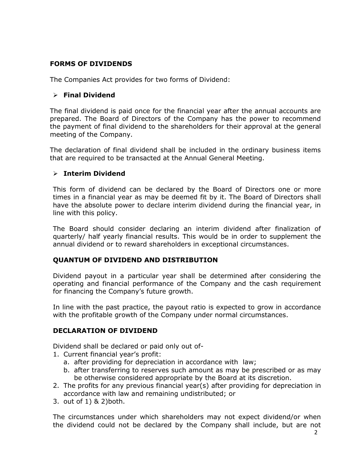## **FORMS OF DIVIDENDS**

The Companies Act provides for two forms of Dividend:

### **Final Dividend**

The final dividend is paid once for the financial year after the annual accounts are prepared. The Board of Directors of the Company has the power to recommend the payment of final dividend to the shareholders for their approval at the general meeting of the Company.

The declaration of final dividend shall be included in the ordinary business items that are required to be transacted at the Annual General Meeting.

#### **Interim Dividend**

This form of dividend can be declared by the Board of Directors one or more times in a financial year as may be deemed fit by it. The Board of Directors shall have the absolute power to declare interim dividend during the financial year, in line with this policy.

The Board should consider declaring an interim dividend after finalization of quarterly/ half yearly financial results. This would be in order to supplement the annual dividend or to reward shareholders in exceptional circumstances.

## **QUANTUM OF DIVIDEND AND DISTRIBUTION**

Dividend payout in a particular year shall be determined after considering the operating and financial performance of the Company and the cash requirement for financing the Company's future growth.

In line with the past practice, the payout ratio is expected to grow in accordance with the profitable growth of the Company under normal circumstances.

#### **DECLARATION OF DIVIDEND**

Dividend shall be declared or paid only out of-

- 1. Current financial year's profit:
	- a. after providing for depreciation in accordance with law;
	- b. after transferring to reserves such amount as may be prescribed or as may be otherwise considered appropriate by the Board at its discretion.
- 2. The profits for any previous financial year(s) after providing for depreciation in accordance with law and remaining undistributed; or
- 3. out of 1) & 2)both.

The circumstances under which shareholders may not expect dividend/or when the dividend could not be declared by the Company shall include, but are not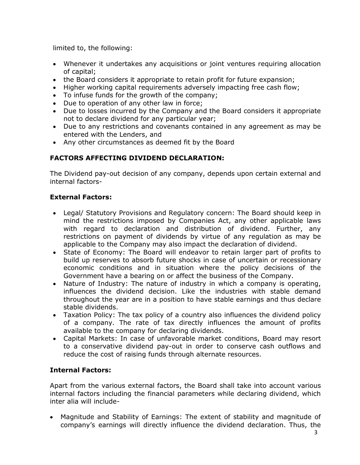limited to, the following:

- Whenever it undertakes any acquisitions or joint ventures requiring allocation of capital;
- the Board considers it appropriate to retain profit for future expansion;
- Higher working capital requirements adversely impacting free cash flow;
- To infuse funds for the growth of the company;
- Due to operation of any other law in force;
- Due to losses incurred by the Company and the Board considers it appropriate not to declare dividend for any particular year;
- Due to any restrictions and covenants contained in any agreement as may be entered with the Lenders, and
- Any other circumstances as deemed fit by the Board

# **FACTORS AFFECTING DIVIDEND DECLARATION:**

The Dividend pay-out decision of any company, depends upon certain external and internal factors-

# **External Factors:**

- Legal/ Statutory Provisions and Regulatory concern: The Board should keep in mind the restrictions imposed by Companies Act, any other applicable laws with regard to declaration and distribution of dividend. Further, any restrictions on payment of dividends by virtue of any regulation as may be applicable to the Company may also impact the declaration of dividend.
- State of Economy: The Board will endeavor to retain larger part of profits to build up reserves to absorb future shocks in case of uncertain or recessionary economic conditions and in situation where the policy decisions of the Government have a bearing on or affect the business of the Company.
- Nature of Industry: The nature of industry in which a company is operating, influences the dividend decision. Like the industries with stable demand throughout the year are in a position to have stable earnings and thus declare stable dividends.
- Taxation Policy: The tax policy of a country also influences the dividend policy of a company. The rate of tax directly influences the amount of profits available to the company for declaring dividends.
- Capital Markets: In case of unfavorable market conditions, Board may resort to a conservative dividend pay-out in order to conserve cash outflows and reduce the cost of raising funds through alternate resources.

# **Internal Factors:**

Apart from the various external factors, the Board shall take into account various internal factors including the financial parameters while declaring dividend, which inter alia will include-

 Magnitude and Stability of Earnings: The extent of stability and magnitude of company's earnings will directly influence the dividend declaration. Thus, the